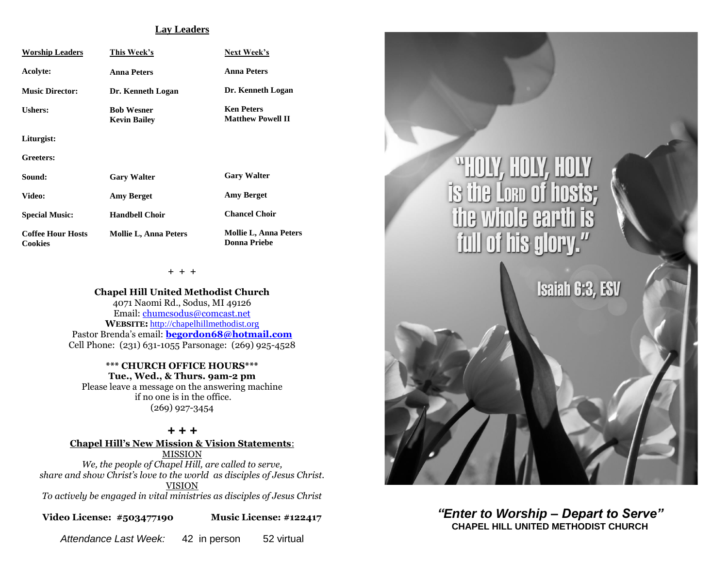#### **Lay Leaders**

| <b>Worship Leaders</b>                     | This Week's                              | Next Week's                                         |
|--------------------------------------------|------------------------------------------|-----------------------------------------------------|
| Acolyte:                                   | <b>Anna Peters</b>                       | <b>Anna Peters</b>                                  |
| <b>Music Director:</b>                     | Dr. Kenneth Logan                        | Dr. Kenneth Logan                                   |
| <b>Ushers:</b>                             | <b>Bob Wesner</b><br><b>Kevin Bailey</b> | <b>Ken Peters</b><br><b>Matthew Powell II</b>       |
| Liturgist:                                 |                                          |                                                     |
| Greeters:                                  |                                          |                                                     |
| Sound:                                     | <b>Gary Walter</b>                       | <b>Gary Walter</b>                                  |
| Video:                                     | <b>Amy Berget</b>                        | <b>Amy Berget</b>                                   |
| <b>Special Music:</b>                      | <b>Handbell Choir</b>                    | <b>Chancel Choir</b>                                |
| <b>Coffee Hour Hosts</b><br><b>Cookies</b> | <b>Mollie L, Anna Peters</b>             | <b>Mollie L, Anna Peters</b><br><b>Donna Priebe</b> |

**+ + +**

**Chapel Hill United Methodist Church** 4071 Naomi Rd., Sodus, MI 49126 Email: [chumcsodus@comcast.net](mailto:chumcsodus@comcast.net) **WEBSITE:** [http://chapelhillmethodist.org](http://chapelhillmethodist.org/) Pastor Brenda's email: **[begordon68@hotmail.com](mailto:begordon68@hotmail.com)** Cell Phone: (231) 631-1055 Parsonage: (269) 925-4528

**\*\*\* CHURCH OFFICE HOURS\*\*\* Tue., Wed., & Thurs. 9am-2 pm** Please leave a message on the answering machine

if no one is in the office. (269) 927-3454

#### *+ + +*

**Chapel Hill's New Mission & Vision Statements**: MISSION *We, the people of Chapel Hill, are called to serve, share and show Christ's love to the world as disciples of Jesus Christ.* VISION

*To actively be engaged in vital ministries as disciples of Jesus Christ*

**Video License: #503477190 Music License: #122417**

*Attendance Last Week:* 42 in person 52 virtual



*"Enter to Worship – Depart to Serve"* **CHAPEL HILL UNITED METHODIST CHURCH**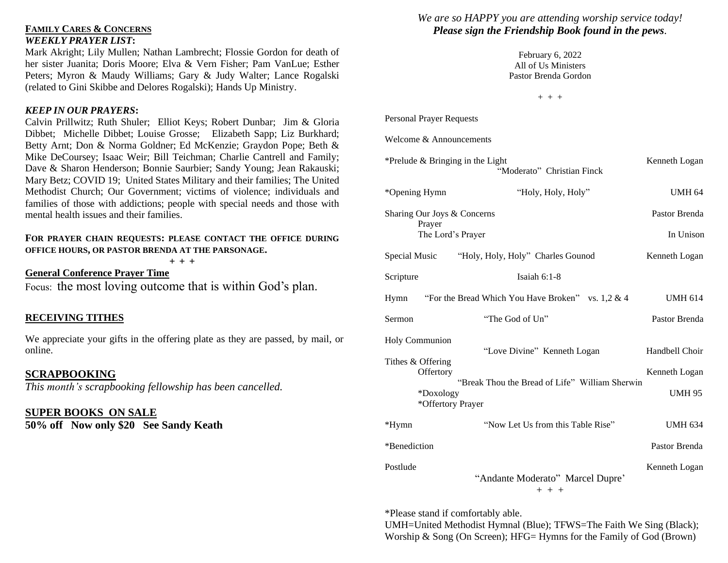## **FAMILY CARES & CONCERNS** *WEEKLY PRAYER LIST***:**

Mark Akright; Lily Mullen; Nathan Lambrecht; Flossie Gordon for death of her sister Juanita; Doris Moore; Elva & Vern Fisher; Pam VanLue; Esther Peters; Myron & Maudy Williams; Gary & Judy Walter; Lance Rogalski (related to Gini Skibbe and Delores Rogalski); Hands Up Ministry.

### *KEEP IN OUR PRAYERS***:**

Calvin Prillwitz; Ruth Shuler; Elliot Keys; Robert Dunbar; Jim & Gloria Dibbet; Michelle Dibbet; Louise Grosse; Elizabeth Sapp; Liz Burkhard; Betty Arnt; Don & Norma Goldner; Ed McKenzie; Graydon Pope; Beth & Mike DeCoursey; Isaac Weir; Bill Teichman; Charlie Cantrell and Family; Dave & Sharon Henderson; Bonnie Saurbier; Sandy Young; Jean Rakauski; Mary Betz; COVID 19; United States Military and their families; The United Methodist Church; Our Government; victims of violence; individuals and families of those with addictions; people with special needs and those with mental health issues and their families.

#### **FOR PRAYER CHAIN REQUESTS: PLEASE CONTACT THE OFFICE DURING OFFICE HOURS, OR PASTOR BRENDA AT THE PARSONAGE.**

**+ + +**

**General Conference Prayer Time** Focus: the most loving outcome that is within God's plan.

# **RECEIVING TITHES**

We appreciate your gifts in the offering plate as they are passed, by mail, or online.

#### **SCRAPBOOKING**

*This month's scrapbooking fellowship has been cancelled.* 

## **SUPER BOOKS ON SALE**

**50% off Now only \$20 See Sandy Keath**

# *We are so HAPPY you are attending worship service today! Please sign the Friendship Book found in the pews.*

February 6, 2022 All of Us Ministers Pastor Brenda Gordon

 $+ + +$ 

Personal Prayer Requests

Welcome & Announcements

| *Prelude & Bringing in the Light<br>Kenneth Logan<br>"Moderato" Christian Finck |                                                      |                |  |
|---------------------------------------------------------------------------------|------------------------------------------------------|----------------|--|
| *Opening Hymn                                                                   | "Holy, Holy, Holy"                                   | <b>UMH 64</b>  |  |
| Sharing Our Joys & Concerns<br>Prayer                                           | Pastor Brenda                                        |                |  |
| The Lord's Prayer                                                               |                                                      | In Unison      |  |
|                                                                                 | Special Music "Holy, Holy, Holy" Charles Gounod      | Kenneth Logan  |  |
| Scripture                                                                       | Isaiah $6:1-8$                                       |                |  |
| Hymn                                                                            | "For the Bread Which You Have Broken" vs. $1,2 \& 4$ | <b>UMH 614</b> |  |
| Sermon                                                                          | "The God of Un"                                      | Pastor Brenda  |  |
| Holy Communion<br>Tithes & Offering                                             | "Love Divine" Kenneth Logan                          | Handbell Choir |  |
| Offertory                                                                       | "Break Thou the Bread of Life" William Sherwin       | Kenneth Logan  |  |
| *Doxology<br>*Offertory Prayer                                                  |                                                      | <b>UMH 95</b>  |  |
| *Hymn                                                                           | "Now Let Us from this Table Rise"                    | <b>UMH 634</b> |  |
| *Benediction                                                                    |                                                      | Pastor Brenda  |  |
| Postlude                                                                        | "Andante Moderato" Marcel Dupre'<br>$+ + +$          | Kenneth Logan  |  |

\*Please stand if comfortably able.

UMH=United Methodist Hymnal (Blue); TFWS=The Faith We Sing (Black); Worship & Song (On Screen); HFG= Hymns for the Family of God (Brown)